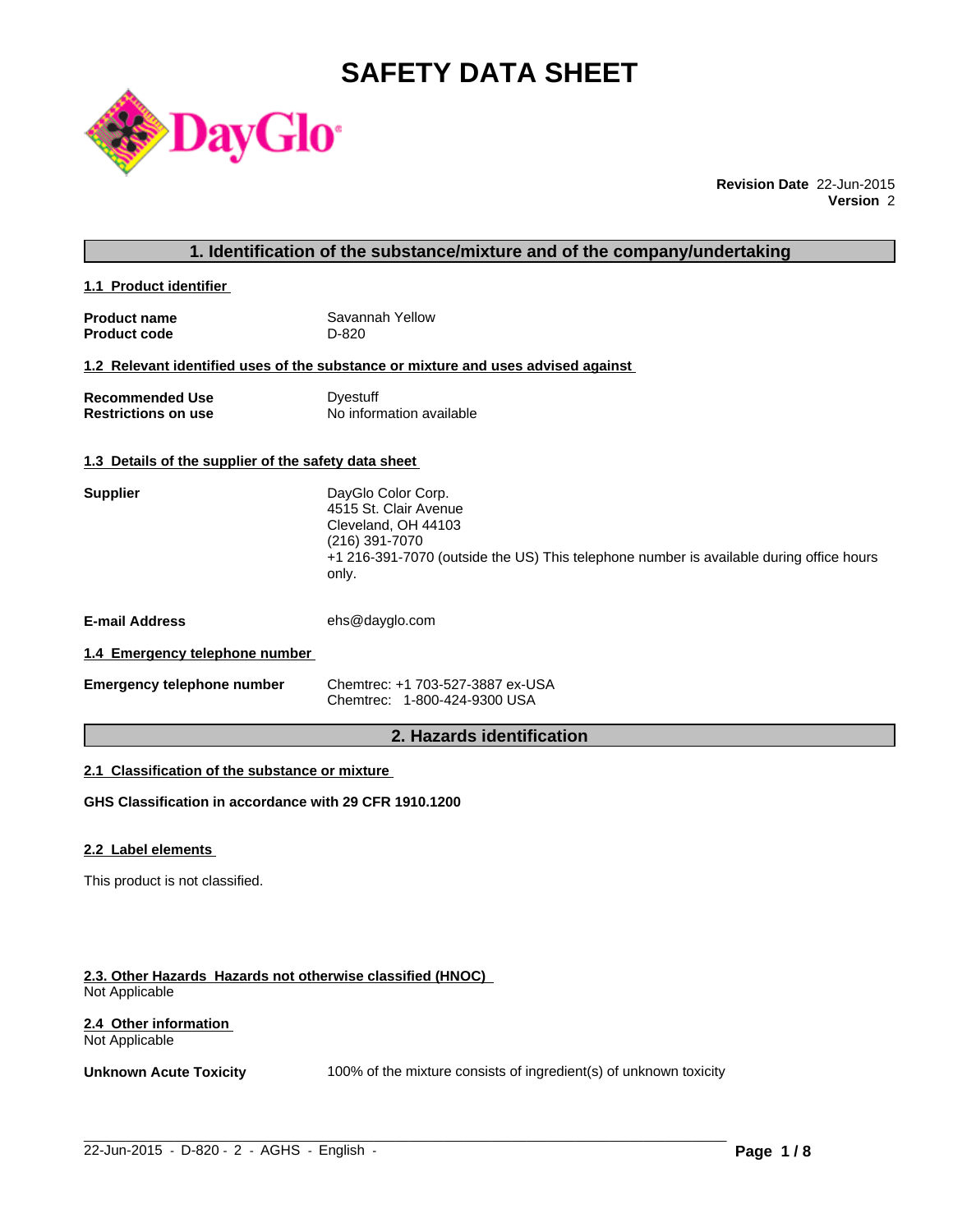# **SAFETY DATA SHEET**



**Revision Date** 22-Jun-2015 **Version** 2

### **1. Identification of the substance/mixture and of the company/undertaking**

**1.1 Product identifier** 

| <b>Product name</b> | Savannah Yellow |
|---------------------|-----------------|
| <b>Product code</b> | D-820           |

#### **1.2 Relevant identified uses of the substance or mixture and uses advised against**

| <b>Recommended Use</b>     | Dyestuff                 |
|----------------------------|--------------------------|
| <b>Restrictions on use</b> | No information available |

### **1.3 Details of the supplier of the safety data sheet**

| <b>Supplier</b>                             | DayGlo Color Corp.<br>4515 St. Clair Avenue<br>Cleveland, OH 44103<br>(216) 391-7070<br>+1 216-391-7070 (outside the US) This telephone number is available during office hours<br>only. |  |
|---------------------------------------------|------------------------------------------------------------------------------------------------------------------------------------------------------------------------------------------|--|
| <b>E-mail Address</b>                       | ehs@dayglo.com                                                                                                                                                                           |  |
| di di Farancesco e inteleccione e considera |                                                                                                                                                                                          |  |

#### **1.4 Emergency telephone number**

| <b>Emergency telephone number</b> | Chemtrec: +1 703-527-3887 ex-USA |
|-----------------------------------|----------------------------------|
|                                   | Chemtrec: 1-800-424-9300 USA     |

### **2. Hazards identification**

### **2.1 Classification of the substance or mixture**

**GHS Classification in accordance with 29 CFR 1910.1200**

#### **2.2 Label elements**

This product is not classified.

#### **2.3. Other Hazards Hazards not otherwise classified (HNOC)**  Not Applicable

#### **2.4 Other information**  Not Applicable

**Unknown Acute Toxicity** 100% of the mixture consists of ingredient(s) of unknown toxicity

 $\_$  ,  $\_$  ,  $\_$  ,  $\_$  ,  $\_$  ,  $\_$  ,  $\_$  ,  $\_$  ,  $\_$  ,  $\_$  ,  $\_$  ,  $\_$  ,  $\_$  ,  $\_$  ,  $\_$  ,  $\_$  ,  $\_$  ,  $\_$  ,  $\_$  ,  $\_$  ,  $\_$  ,  $\_$  ,  $\_$  ,  $\_$  ,  $\_$  ,  $\_$  ,  $\_$  ,  $\_$  ,  $\_$  ,  $\_$  ,  $\_$  ,  $\_$  ,  $\_$  ,  $\_$  ,  $\_$  ,  $\_$  ,  $\_$  ,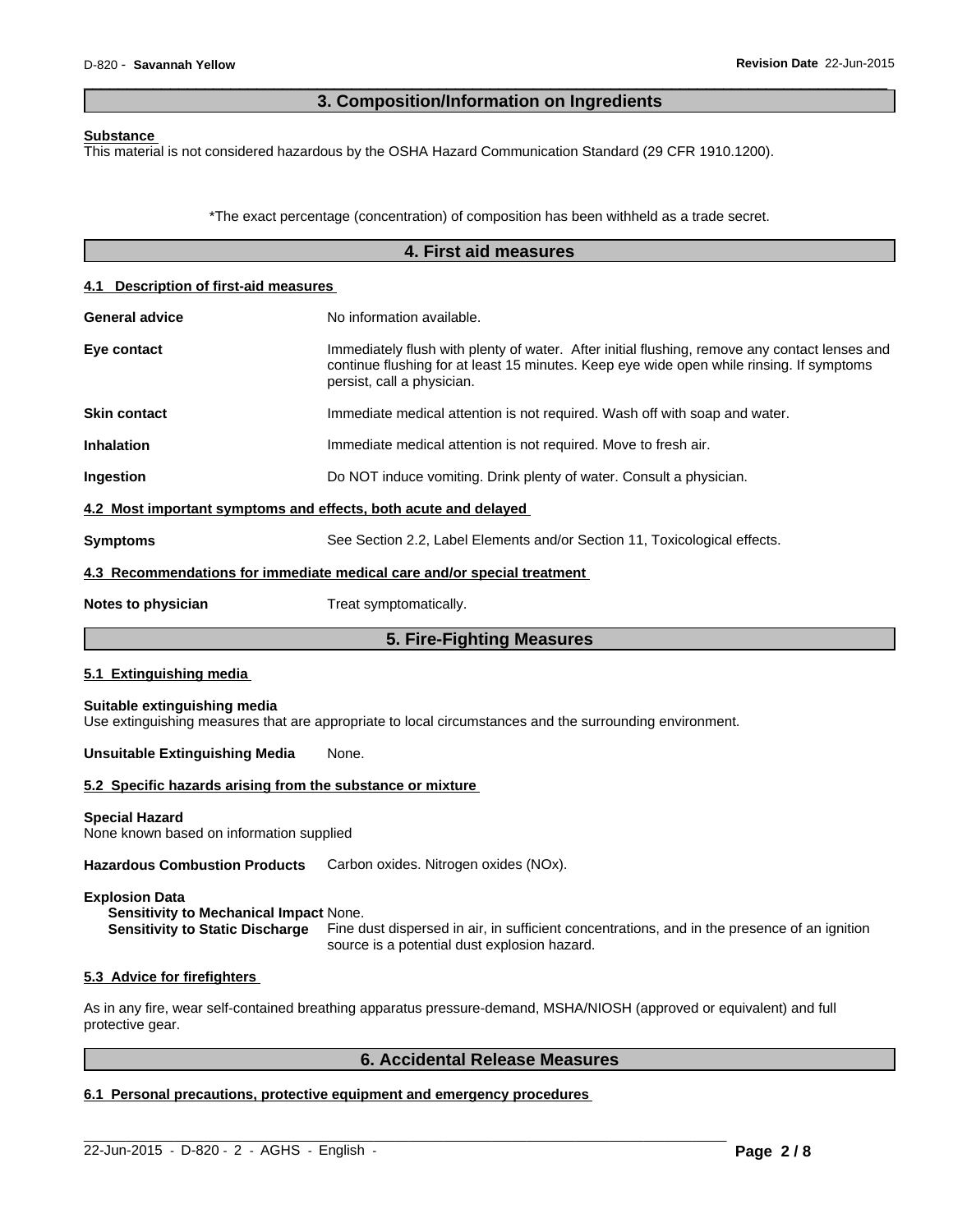### **3. Composition/Information on Ingredients**

 $\overline{\phantom{a}}$  ,  $\overline{\phantom{a}}$  ,  $\overline{\phantom{a}}$  ,  $\overline{\phantom{a}}$  ,  $\overline{\phantom{a}}$  ,  $\overline{\phantom{a}}$  ,  $\overline{\phantom{a}}$  ,  $\overline{\phantom{a}}$  ,  $\overline{\phantom{a}}$  ,  $\overline{\phantom{a}}$  ,  $\overline{\phantom{a}}$  ,  $\overline{\phantom{a}}$  ,  $\overline{\phantom{a}}$  ,  $\overline{\phantom{a}}$  ,  $\overline{\phantom{a}}$  ,  $\overline{\phantom{a}}$ 

#### **Substance**

This material is not considered hazardous by the OSHA Hazard Communication Standard (29 CFR 1910.1200).

\*The exact percentage (concentration) of composition has been withheld as a trade secret.

|                                                                   | 4. First aid measures                                                                                                                                                                                                   |
|-------------------------------------------------------------------|-------------------------------------------------------------------------------------------------------------------------------------------------------------------------------------------------------------------------|
| 4.1 Description of first-aid measures                             |                                                                                                                                                                                                                         |
| <b>General advice</b>                                             | No information available.                                                                                                                                                                                               |
| Eye contact                                                       | Immediately flush with plenty of water. After initial flushing, remove any contact lenses and<br>continue flushing for at least 15 minutes. Keep eye wide open while rinsing. If symptoms<br>persist, call a physician. |
| <b>Skin contact</b>                                               | Immediate medical attention is not required. Wash off with soap and water.                                                                                                                                              |
| Inhalation                                                        | Immediate medical attention is not required. Move to fresh air.                                                                                                                                                         |
| Ingestion                                                         | Do NOT induce vomiting. Drink plenty of water. Consult a physician.                                                                                                                                                     |
| 4.2 Most important symptoms and effects, both acute and delayed   |                                                                                                                                                                                                                         |
| <b>Symptoms</b>                                                   | See Section 2.2, Label Elements and/or Section 11, Toxicological effects.                                                                                                                                               |
|                                                                   | 4.3 Recommendations for immediate medical care and/or special treatment                                                                                                                                                 |
| Notes to physician                                                | Treat symptomatically.                                                                                                                                                                                                  |
|                                                                   | 5. Fire-Fighting Measures                                                                                                                                                                                               |
| 5.1 Extinguishing media                                           |                                                                                                                                                                                                                         |
| Suitable extinguishing media                                      | Use extinguishing measures that are appropriate to local circumstances and the surrounding environment.                                                                                                                 |
| <b>Unsuitable Extinguishing Media</b>                             | None.                                                                                                                                                                                                                   |
| 5.2 Specific hazards arising from the substance or mixture        |                                                                                                                                                                                                                         |
| <b>Special Hazard</b><br>None known based on information supplied |                                                                                                                                                                                                                         |
| <b>Hazardous Combustion Products</b>                              | Carbon oxides. Nitrogen oxides (NOx).                                                                                                                                                                                   |
| <b>Explosion Data</b>                                             |                                                                                                                                                                                                                         |

**Sensitivity to Mechanical Impact** None. **Sensitivity to Static Discharge** Fine dust dispersed in air, in sufficient concentrations, and in the presence of an ignition source is a potential dust explosion hazard.

#### **5.3 Advice for firefighters**

As in any fire, wear self-contained breathing apparatus pressure-demand, MSHA/NIOSH (approved or equivalent) and full protective gear.

 $\_$  ,  $\_$  ,  $\_$  ,  $\_$  ,  $\_$  ,  $\_$  ,  $\_$  ,  $\_$  ,  $\_$  ,  $\_$  ,  $\_$  ,  $\_$  ,  $\_$  ,  $\_$  ,  $\_$  ,  $\_$  ,  $\_$  ,  $\_$  ,  $\_$  ,  $\_$  ,  $\_$  ,  $\_$  ,  $\_$  ,  $\_$  ,  $\_$  ,  $\_$  ,  $\_$  ,  $\_$  ,  $\_$  ,  $\_$  ,  $\_$  ,  $\_$  ,  $\_$  ,  $\_$  ,  $\_$  ,  $\_$  ,  $\_$  ,

### **6. Accidental Release Measures**

### **6.1 Personal precautions, protective equipment and emergency procedures**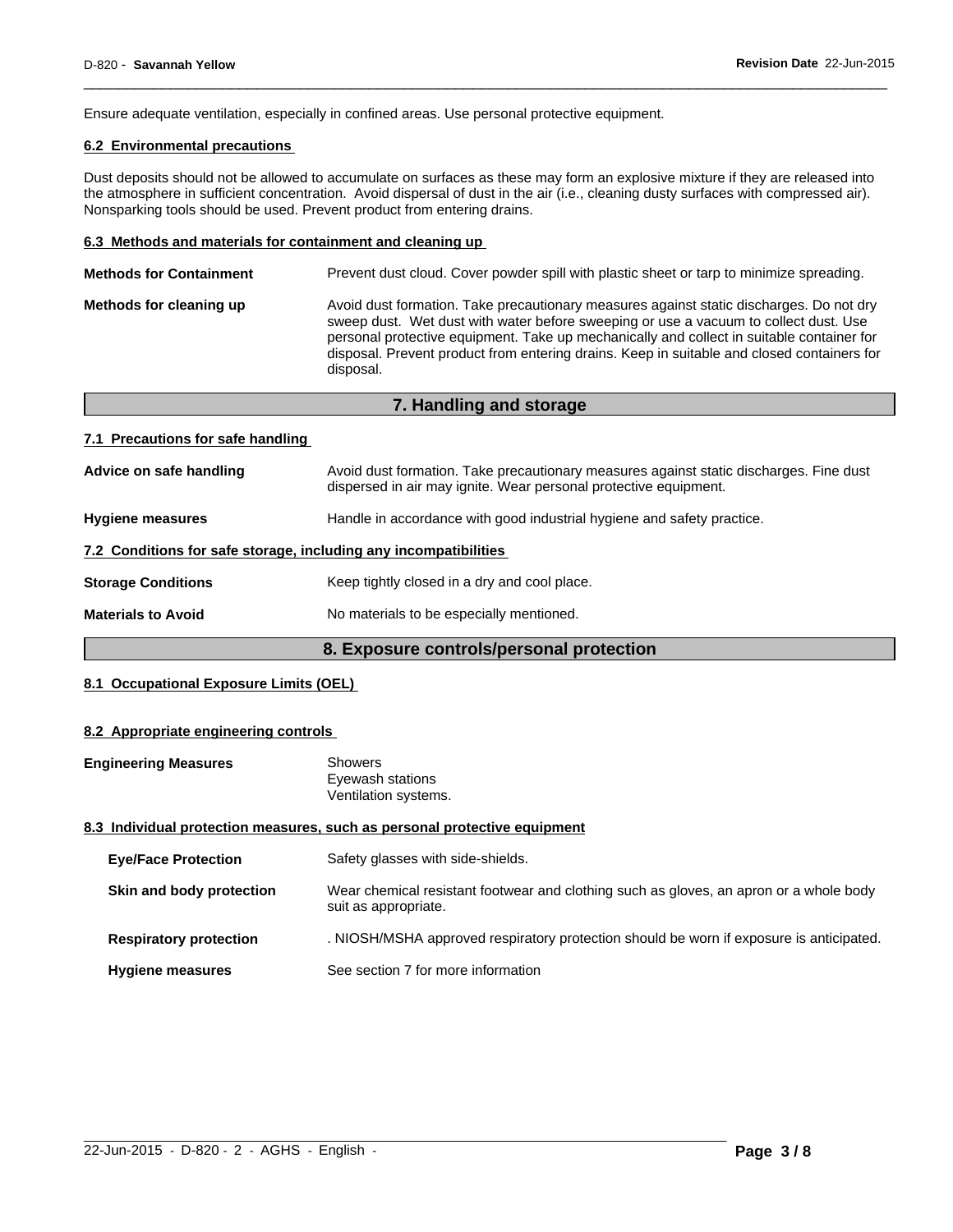Ensure adequate ventilation, especially in confined areas. Use personal protective equipment.

### **6.2 Environmental precautions**

Dust deposits should not be allowed to accumulate on surfaces as these may form an explosive mixture if they are released into the atmosphere in sufficient concentration. Avoid dispersal of dust in the air (i.e., cleaning dusty surfaces with compressed air). Nonsparking tools should be used. Prevent product from entering drains.

 $\overline{\phantom{a}}$  ,  $\overline{\phantom{a}}$  ,  $\overline{\phantom{a}}$  ,  $\overline{\phantom{a}}$  ,  $\overline{\phantom{a}}$  ,  $\overline{\phantom{a}}$  ,  $\overline{\phantom{a}}$  ,  $\overline{\phantom{a}}$  ,  $\overline{\phantom{a}}$  ,  $\overline{\phantom{a}}$  ,  $\overline{\phantom{a}}$  ,  $\overline{\phantom{a}}$  ,  $\overline{\phantom{a}}$  ,  $\overline{\phantom{a}}$  ,  $\overline{\phantom{a}}$  ,  $\overline{\phantom{a}}$ 

#### **6.3 Methods and materials for containment and cleaning up**

| <b>Methods for Containment</b> | Prevent dust cloud. Cover powder spill with plastic sheet or tarp to minimize spreading.                                                                                                                                                                                                                                                                                                |
|--------------------------------|-----------------------------------------------------------------------------------------------------------------------------------------------------------------------------------------------------------------------------------------------------------------------------------------------------------------------------------------------------------------------------------------|
| Methods for cleaning up        | Avoid dust formation. Take precautionary measures against static discharges. Do not dry<br>sweep dust. Wet dust with water before sweeping or use a vacuum to collect dust. Use<br>personal protective equipment. Take up mechanically and collect in suitable container for<br>disposal. Prevent product from entering drains. Keep in suitable and closed containers for<br>disposal. |
|                                |                                                                                                                                                                                                                                                                                                                                                                                         |

**7. Handling and storage**

|                                                                  | 7. Handling and storage                                                                                                                                    |
|------------------------------------------------------------------|------------------------------------------------------------------------------------------------------------------------------------------------------------|
| 7.1 Precautions for safe handling                                |                                                                                                                                                            |
| Advice on safe handling                                          | Avoid dust formation. Take precautionary measures against static discharges. Fine dust<br>dispersed in air may ignite. Wear personal protective equipment. |
| <b>Hygiene measures</b>                                          | Handle in accordance with good industrial hygiene and safety practice.                                                                                     |
| 7.2 Conditions for safe storage, including any incompatibilities |                                                                                                                                                            |
| <b>Storage Conditions</b>                                        | Keep tightly closed in a dry and cool place.                                                                                                               |
| <b>Materials to Avoid</b>                                        | No materials to be especially mentioned.                                                                                                                   |

### **8. Exposure controls/personal protection**

### **8.1 Occupational Exposure Limits (OEL)**

#### **8.2 Appropriate engineering controls**

| <b>Engineering Measures</b> | <b>Showers</b>                                                             |
|-----------------------------|----------------------------------------------------------------------------|
|                             | Eyewash stations                                                           |
|                             | Ventilation systems.                                                       |
|                             | 2.2. Individual protection measures, such as personal protective equipment |

## **8.3 Individual protection measures, such as personal protective equipment**

| <b>Eye/Face Protection</b>    | Safety glasses with side-shields.                                                                              |
|-------------------------------|----------------------------------------------------------------------------------------------------------------|
| Skin and body protection      | Wear chemical resistant footwear and clothing such as gloves, an apron or a whole body<br>suit as appropriate. |
| <b>Respiratory protection</b> | . NIOSH/MSHA approved respiratory protection should be worn if exposure is anticipated.                        |
| <b>Hygiene measures</b>       | See section 7 for more information                                                                             |

 $\_$  ,  $\_$  ,  $\_$  ,  $\_$  ,  $\_$  ,  $\_$  ,  $\_$  ,  $\_$  ,  $\_$  ,  $\_$  ,  $\_$  ,  $\_$  ,  $\_$  ,  $\_$  ,  $\_$  ,  $\_$  ,  $\_$  ,  $\_$  ,  $\_$  ,  $\_$  ,  $\_$  ,  $\_$  ,  $\_$  ,  $\_$  ,  $\_$  ,  $\_$  ,  $\_$  ,  $\_$  ,  $\_$  ,  $\_$  ,  $\_$  ,  $\_$  ,  $\_$  ,  $\_$  ,  $\_$  ,  $\_$  ,  $\_$  ,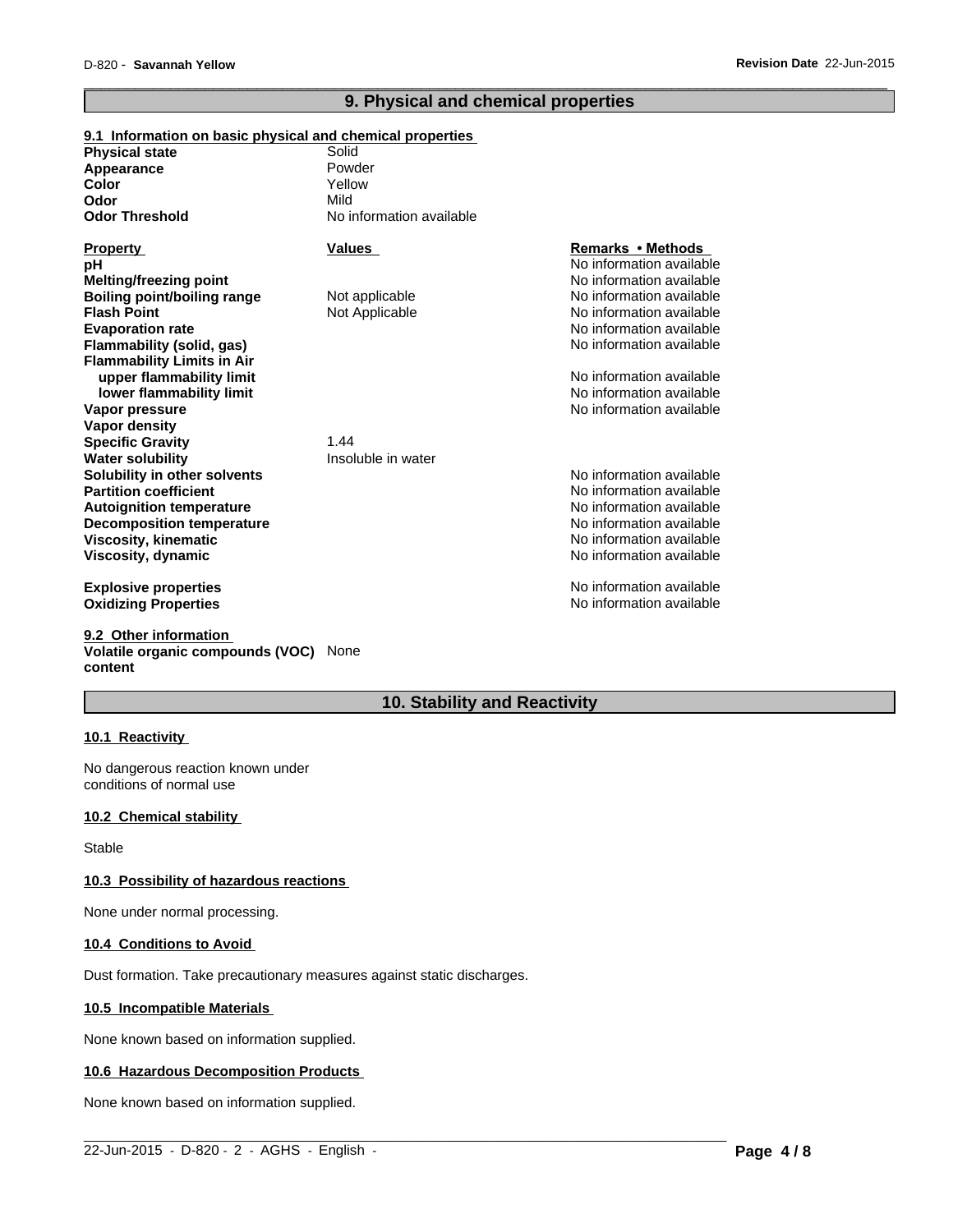### **9. Physical and chemical properties**

 $\overline{\phantom{a}}$  ,  $\overline{\phantom{a}}$  ,  $\overline{\phantom{a}}$  ,  $\overline{\phantom{a}}$  ,  $\overline{\phantom{a}}$  ,  $\overline{\phantom{a}}$  ,  $\overline{\phantom{a}}$  ,  $\overline{\phantom{a}}$  ,  $\overline{\phantom{a}}$  ,  $\overline{\phantom{a}}$  ,  $\overline{\phantom{a}}$  ,  $\overline{\phantom{a}}$  ,  $\overline{\phantom{a}}$  ,  $\overline{\phantom{a}}$  ,  $\overline{\phantom{a}}$  ,  $\overline{\phantom{a}}$ 

| 9.1 Information on basic physical and chemical properties |                          |                          |
|-----------------------------------------------------------|--------------------------|--------------------------|
| <b>Physical state</b>                                     | Solid                    |                          |
| Appearance                                                | Powder                   |                          |
| Color                                                     | Yellow                   |                          |
| Odor                                                      | Mild                     |                          |
| <b>Odor Threshold</b>                                     | No information available |                          |
| <b>Property</b>                                           | <b>Values</b>            | Remarks • Methods        |
| рH                                                        |                          | No information available |
| Melting/freezing point                                    |                          | No information available |
| <b>Boiling point/boiling range</b>                        | Not applicable           | No information available |
| <b>Flash Point</b>                                        | Not Applicable           | No information available |
| <b>Evaporation rate</b>                                   |                          | No information available |
| Flammability (solid, gas)                                 |                          | No information available |
| <b>Flammability Limits in Air</b>                         |                          |                          |
| upper flammability limit                                  |                          | No information available |
| lower flammability limit                                  |                          | No information available |
| Vapor pressure                                            |                          | No information available |
| Vapor density                                             |                          |                          |
| <b>Specific Gravity</b>                                   | 1.44                     |                          |
| <b>Water solubility</b>                                   | Insoluble in water       |                          |
| Solubility in other solvents                              |                          | No information available |
| <b>Partition coefficient</b>                              |                          | No information available |
| <b>Autoignition temperature</b>                           |                          | No information available |
| <b>Decomposition temperature</b>                          |                          | No information available |
| <b>Viscosity, kinematic</b>                               |                          | No information available |
| Viscosity, dynamic                                        |                          | No information available |
| <b>Explosive properties</b>                               |                          | No information available |
| <b>Oxidizing Properties</b>                               |                          | No information available |

**9.2 Other information Volatile organic compounds (VOC)** None **content**

### **10. Stability and Reactivity**

 $\_$  ,  $\_$  ,  $\_$  ,  $\_$  ,  $\_$  ,  $\_$  ,  $\_$  ,  $\_$  ,  $\_$  ,  $\_$  ,  $\_$  ,  $\_$  ,  $\_$  ,  $\_$  ,  $\_$  ,  $\_$  ,  $\_$  ,  $\_$  ,  $\_$  ,  $\_$  ,  $\_$  ,  $\_$  ,  $\_$  ,  $\_$  ,  $\_$  ,  $\_$  ,  $\_$  ,  $\_$  ,  $\_$  ,  $\_$  ,  $\_$  ,  $\_$  ,  $\_$  ,  $\_$  ,  $\_$  ,  $\_$  ,  $\_$  ,

### **10.1 Reactivity**

No dangerous reaction known under conditions of normal use

#### **10.2 Chemical stability**

Stable

### **10.3 Possibility of hazardous reactions**

None under normal processing.

#### **10.4 Conditions to Avoid**

Dust formation. Take precautionary measures against static discharges.

#### **10.5 Incompatible Materials**

None known based on information supplied.

#### **10.6 Hazardous Decomposition Products**

None known based on information supplied.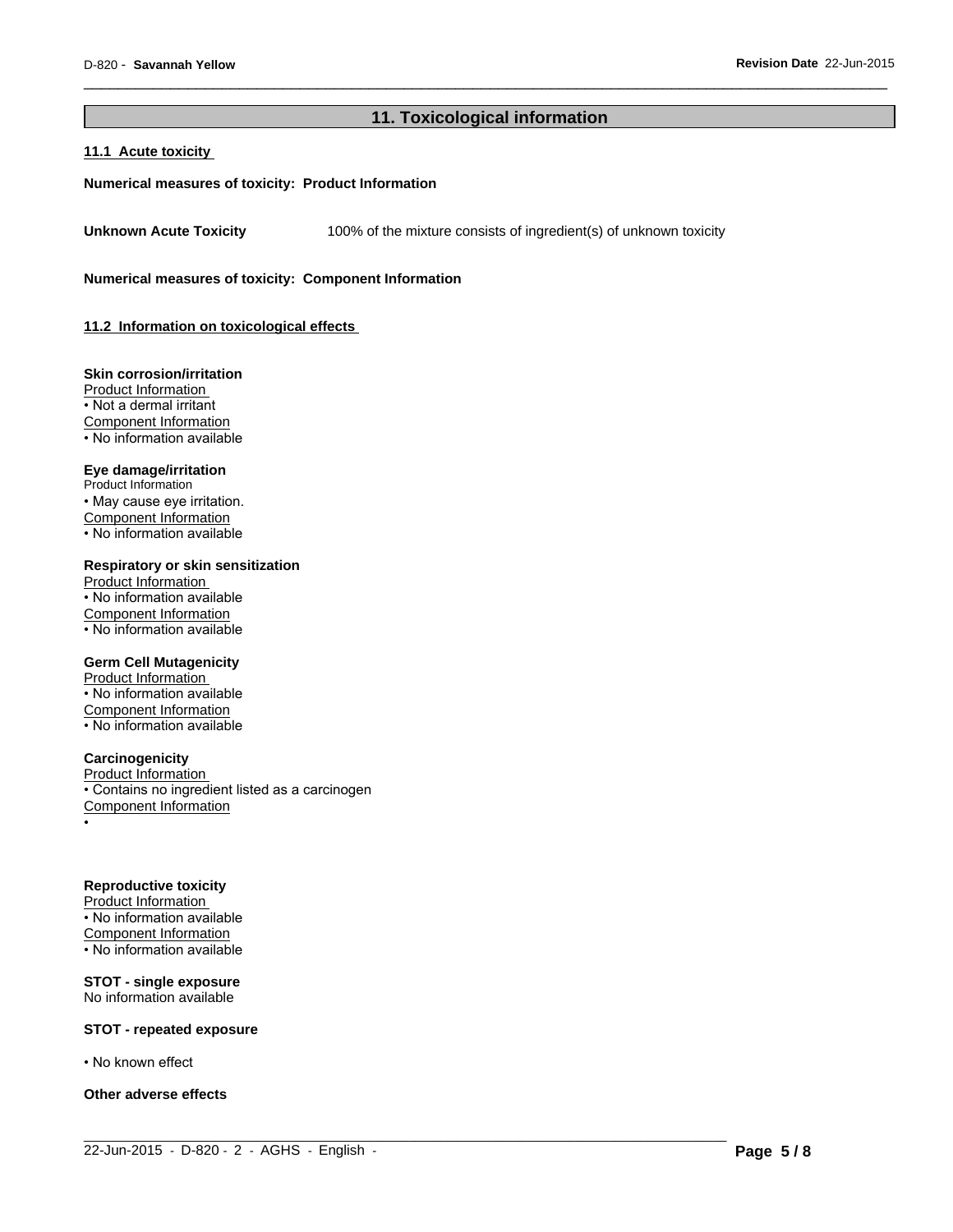### **11. Toxicological information**

 $\_$  ,  $\_$  ,  $\_$  ,  $\_$  ,  $\_$  ,  $\_$  ,  $\_$  ,  $\_$  ,  $\_$  ,  $\_$  ,  $\_$  ,  $\_$  ,  $\_$  ,  $\_$  ,  $\_$  ,  $\_$  ,  $\_$  ,  $\_$  ,  $\_$  ,  $\_$  ,  $\_$  ,  $\_$  ,  $\_$  ,  $\_$  ,  $\_$  ,  $\_$  ,  $\_$  ,  $\_$  ,  $\_$  ,  $\_$  ,  $\_$  ,  $\_$  ,  $\_$  ,  $\_$  ,  $\_$  ,  $\_$  ,  $\_$  ,

 $\overline{\phantom{a}}$  ,  $\overline{\phantom{a}}$  ,  $\overline{\phantom{a}}$  ,  $\overline{\phantom{a}}$  ,  $\overline{\phantom{a}}$  ,  $\overline{\phantom{a}}$  ,  $\overline{\phantom{a}}$  ,  $\overline{\phantom{a}}$  ,  $\overline{\phantom{a}}$  ,  $\overline{\phantom{a}}$  ,  $\overline{\phantom{a}}$  ,  $\overline{\phantom{a}}$  ,  $\overline{\phantom{a}}$  ,  $\overline{\phantom{a}}$  ,  $\overline{\phantom{a}}$  ,  $\overline{\phantom{a}}$ 

#### **11.1 Acute toxicity**

#### **Numerical measures of toxicity: Product Information**

**Unknown Acute Toxicity** 100% of the mixture consists of ingredient(s) of unknown toxicity

**Numerical measures of toxicity: Component Information**

**11.2 Information on toxicological effects** 

#### **Skin corrosion/irritation**

Product Information • Not a dermal irritant Component Information • No information available

### **Eye damage/irritation**

Product Information • May cause eye irritation. Component Information • No information available

#### **Respiratory or skin sensitization**

Product Information  $\overline{\cdot}$  No information available Component Information • No information available

#### **Germ Cell Mutagenicity**

Product Information • No information available Component Information • No information available

#### **Carcinogenicity**

Product Information • Contains no ingredient listed as a carcinogen Component Information •

#### **Reproductive toxicity**

Product Information • No information available Component Information  $\cdot$  No information available

#### **STOT - single exposure** No information available

#### **STOT - repeated exposure**

• No known effect

#### **Other adverse effects**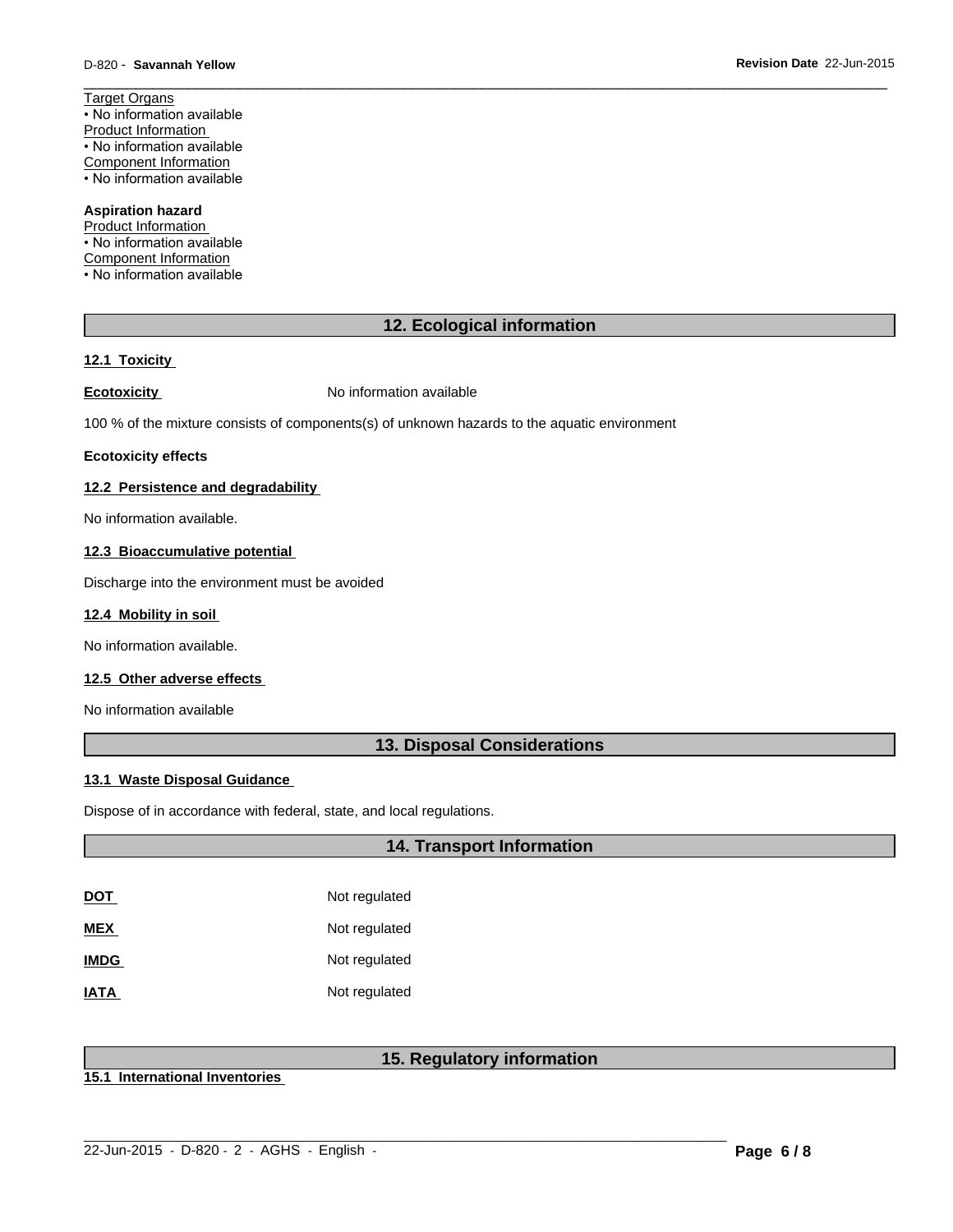Target Organs • No information available Product Information • No information available Component Information • No information available

#### **Aspiration hazard**

Product Information • No information available Component Information • No information available

### **12. Ecological information**

 $\overline{\phantom{a}}$  ,  $\overline{\phantom{a}}$  ,  $\overline{\phantom{a}}$  ,  $\overline{\phantom{a}}$  ,  $\overline{\phantom{a}}$  ,  $\overline{\phantom{a}}$  ,  $\overline{\phantom{a}}$  ,  $\overline{\phantom{a}}$  ,  $\overline{\phantom{a}}$  ,  $\overline{\phantom{a}}$  ,  $\overline{\phantom{a}}$  ,  $\overline{\phantom{a}}$  ,  $\overline{\phantom{a}}$  ,  $\overline{\phantom{a}}$  ,  $\overline{\phantom{a}}$  ,  $\overline{\phantom{a}}$ 

#### **12.1 Toxicity**

**Ecotoxicity No information available** 

100 % of the mixture consists of components(s) of unknown hazards to the aquatic environment

#### **Ecotoxicity effects**

#### **12.2 Persistence and degradability**

No information available.

#### **12.3 Bioaccumulative potential**

Discharge into the environment must be avoided

#### **12.4 Mobility in soil**

No information available.

### **12.5 Other adverse effects**

No information available

### **13. Disposal Considerations**

#### **13.1 Waste Disposal Guidance**

Dispose of in accordance with federal, state, and local regulations.

### **14. Transport Information**

| <u>DOT</u>  | Not regulated |
|-------------|---------------|
| <b>MEX</b>  | Not regulated |
| <b>IMDG</b> | Not regulated |
| <b>IATA</b> | Not regulated |

### **15. Regulatory information**

 $\_$  ,  $\_$  ,  $\_$  ,  $\_$  ,  $\_$  ,  $\_$  ,  $\_$  ,  $\_$  ,  $\_$  ,  $\_$  ,  $\_$  ,  $\_$  ,  $\_$  ,  $\_$  ,  $\_$  ,  $\_$  ,  $\_$  ,  $\_$  ,  $\_$  ,  $\_$  ,  $\_$  ,  $\_$  ,  $\_$  ,  $\_$  ,  $\_$  ,  $\_$  ,  $\_$  ,  $\_$  ,  $\_$  ,  $\_$  ,  $\_$  ,  $\_$  ,  $\_$  ,  $\_$  ,  $\_$  ,  $\_$  ,  $\_$  ,

**15.1 International Inventories**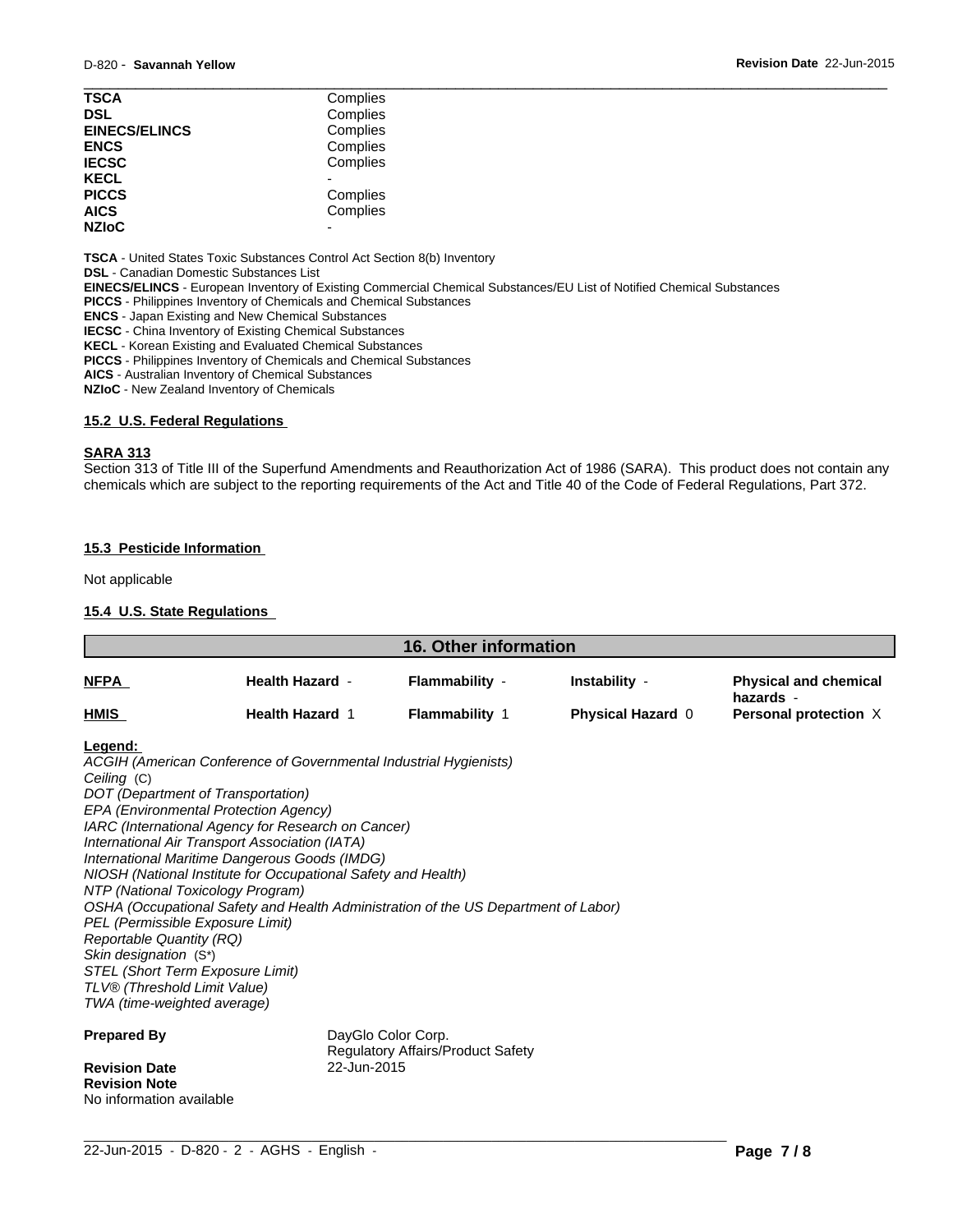| <b>TSCA</b>          | Complies |  |
|----------------------|----------|--|
| <b>DSL</b>           | Complies |  |
| <b>EINECS/ELINCS</b> | Complies |  |
| <b>ENCS</b>          | Complies |  |
| <b>IECSC</b>         | Complies |  |
| <b>KECL</b>          |          |  |
| <b>PICCS</b>         | Complies |  |
| <b>AICS</b>          | Complies |  |
| <b>NZIoC</b>         | -        |  |
|                      |          |  |

**TSCA** - United States Toxic Substances Control Act Section 8(b) Inventory

**DSL** - Canadian Domestic Substances List

**EINECS/ELINCS** - European Inventory of Existing Commercial Chemical Substances/EU List of Notified Chemical Substances

**PICCS** - Philippines Inventory of Chemicals and Chemical Substances

**ENCS** - Japan Existing and New Chemical Substances

**IECSC** - China Inventory of Existing Chemical Substances

**KECL** - Korean Existing and Evaluated Chemical Substances

**PICCS** - Philippines Inventory of Chemicals and Chemical Substances

**AICS** - Australian Inventory of Chemical Substances

**NZIoC** - New Zealand Inventory of Chemicals

#### **15.2 U.S. Federal Regulations**

#### **SARA 313**

Section 313 of Title III of the Superfund Amendments and Reauthorization Act of 1986 (SARA). This product does not contain any chemicals which are subject to the reporting requirements of the Act and Title 40 of the Code of Federal Regulations, Part 372.

#### **15.3 Pesticide Information**

Not applicable

#### **15.4 U.S. State Regulations**

| <u>NFPA</u>                                                                                                                                                                                                                                                                                                                                                                                                                                                                                                                                                                                                                                                                                                                        |                                                  |                                         |                                    |                                                                    |
|------------------------------------------------------------------------------------------------------------------------------------------------------------------------------------------------------------------------------------------------------------------------------------------------------------------------------------------------------------------------------------------------------------------------------------------------------------------------------------------------------------------------------------------------------------------------------------------------------------------------------------------------------------------------------------------------------------------------------------|--------------------------------------------------|-----------------------------------------|------------------------------------|--------------------------------------------------------------------|
|                                                                                                                                                                                                                                                                                                                                                                                                                                                                                                                                                                                                                                                                                                                                    | <b>Health Hazard -</b><br><b>Health Hazard 1</b> | Flammability -<br><b>Flammability 1</b> | Instability -<br>Physical Hazard 0 | <b>Physical and chemical</b><br>hazards -<br>Personal protection X |
| HMIS                                                                                                                                                                                                                                                                                                                                                                                                                                                                                                                                                                                                                                                                                                                               |                                                  |                                         |                                    |                                                                    |
| Legend:<br>ACGIH (American Conference of Governmental Industrial Hygienists)<br>Ceiling (C)<br>DOT (Department of Transportation)<br>EPA (Environmental Protection Agency)<br>IARC (International Agency for Research on Cancer)<br>International Air Transport Association (IATA)<br>International Maritime Dangerous Goods (IMDG)<br>NIOSH (National Institute for Occupational Safety and Health)<br>NTP (National Toxicology Program)<br>OSHA (Occupational Safety and Health Administration of the US Department of Labor)<br>PEL (Permissible Exposure Limit)<br><b>Reportable Quantity (RQ)</b><br>Skin designation (S*)<br>STEL (Short Term Exposure Limit)<br>TLV® (Threshold Limit Value)<br>TWA (time-weighted average) |                                                  |                                         |                                    |                                                                    |
| <b>Prepared By</b><br><b>Revision Date</b><br><b>Revision Note</b>                                                                                                                                                                                                                                                                                                                                                                                                                                                                                                                                                                                                                                                                 | DayGlo Color Corp.<br>22-Jun-2015                | Regulatory Affairs/Product Safety       |                                    |                                                                    |

 $\_$  ,  $\_$  ,  $\_$  ,  $\_$  ,  $\_$  ,  $\_$  ,  $\_$  ,  $\_$  ,  $\_$  ,  $\_$  ,  $\_$  ,  $\_$  ,  $\_$  ,  $\_$  ,  $\_$  ,  $\_$  ,  $\_$  ,  $\_$  ,  $\_$  ,  $\_$  ,  $\_$  ,  $\_$  ,  $\_$  ,  $\_$  ,  $\_$  ,  $\_$  ,  $\_$  ,  $\_$  ,  $\_$  ,  $\_$  ,  $\_$  ,  $\_$  ,  $\_$  ,  $\_$  ,  $\_$  ,  $\_$  ,  $\_$  ,

No information available